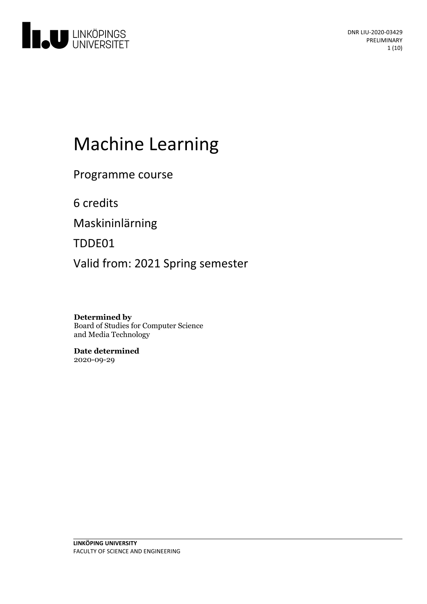

# Machine Learning

Programme course

6 credits

Maskininlärning

TDDE01

Valid from: 2021 Spring semester

**Determined by** Board of Studies for Computer Science and Media Technology

**Date determined** 2020-09-29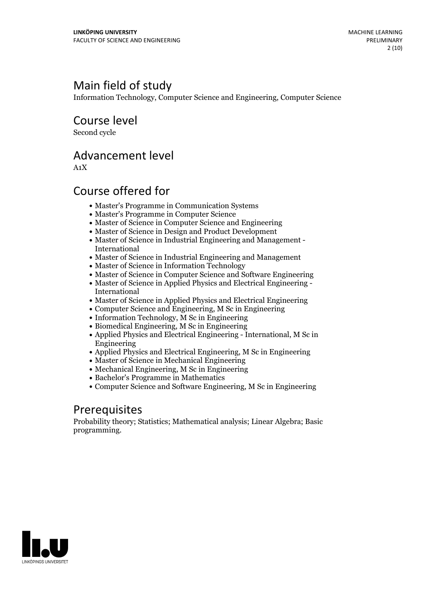# Main field of study

Information Technology, Computer Science and Engineering, Computer Science

Course level

Second cycle

# Advancement level

A1X

# Course offered for

- Master's Programme in Communication Systems
- Master's Programme in Computer Science
- Master of Science in Computer Science and Engineering
- Master of Science in Design and Product Development
- Master of Science in Industrial Engineering and Management International
- Master of Science in Industrial Engineering and Management
- Master of Science in Information Technology
- Master of Science in Computer Science and Software Engineering
- Master of Science in Applied Physics and Electrical Engineering International
- Master of Science in Applied Physics and Electrical Engineering
- Computer Science and Engineering, M Sc in Engineering
- $\bullet$  Information Technology, M Sc in Engineering
- Biomedical Engineering, M Sc in Engineering
- Applied Physics and Electrical Engineering International, M Sc in Engineering
- Applied Physics and Electrical Engineering, M Sc in Engineering
- Master of Science in Mechanical Engineering
- Mechanical Engineering, M Sc in Engineering
- Bachelor's Programme in Mathematics
- Computer Science and Software Engineering, M Sc in Engineering

# Prerequisites

Probability theory; Statistics; Mathematical analysis; Linear Algebra; Basic programming.

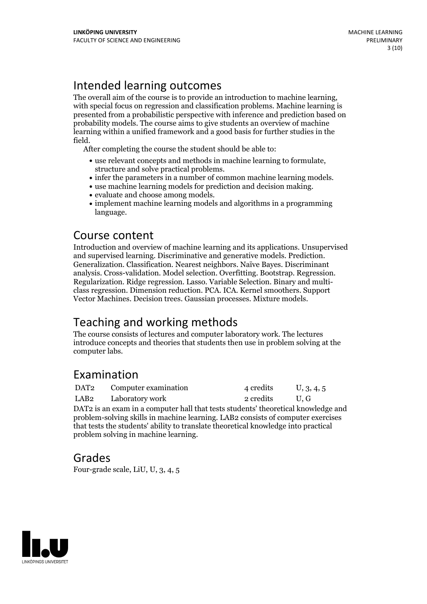# Intended learning outcomes

The overall aim of the course is to provide an introduction to machine learning, with special focus on regression and classification problems. Machine learning is presented from a probabilistic perspective with inference and prediction based on probability models. The course aims to give students an overview of machine learning within a unified framework and a good basis for further studies in the

field. After completing the course the student should be able to:

- <ul>\n<li>use relevant concepts and methods in machine learning to formulate, structure and solve practical problems.</li>\n<li> infer the parameters in a number of common machine learning models.</li>\n<li>use machine learning models for prediction and decision making.</li>\n<li>evaluate and choose among models.</li>\n<li>implement machine learning models and algorithms in a programming models.</li>\n</ul>
- 
- 
- 
- language.

## Course content

Introduction and overview of machine learning and its applications. Unsupervised Generalization. Classification. Nearest neighbors. Naïve Bayes. Discriminant analysis. Cross-validation. Model selection. Overfitting. Bootstrap. Regression. Regularization. Ridge regression. Lasso. Variable Selection. Binary and multiclass regression. Dimension reduction. PCA. ICA. Kernel smoother Vector Machines. Decision trees. Gaussian processes. Mixture models.

# Teaching and working methods

The course consists of lectures and computer laboratory work. The lectures introduce concepts and theories that students then use in problem solving at the computer labs.

# Examination

| DAT <sub>2</sub> | Computer examination | 4 credits | U, 3, 4, 5 |
|------------------|----------------------|-----------|------------|
| LAB2             | Laboratory work      | 2 credits | U.G        |

DAT<sub>2</sub> is an exam in a computer hall that tests students' theoretical knowledge and problem-solving skills in machine learning. LAB2 consists of computer exercises that tests the students' ability to translate theoretical knowledge into practical problem solving in machine learning.

# Grades

Four-grade scale, LiU, U, 3, 4, 5

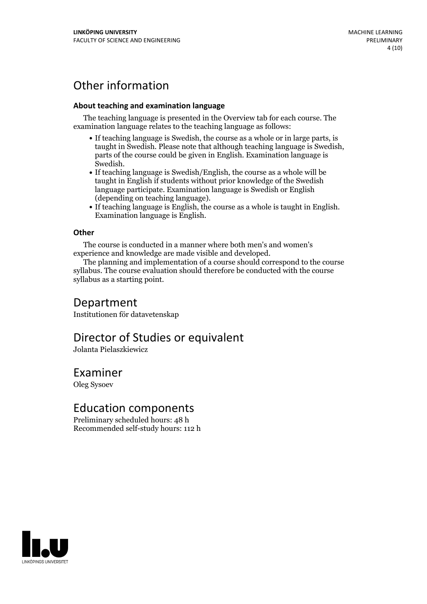# Other information

### **About teaching and examination language**

The teaching language is presented in the Overview tab for each course. The examination language relates to the teaching language as follows:

- If teaching language is Swedish, the course as a whole or in large parts, is taught in Swedish. Please note that although teaching language is Swedish, parts of the course could be given in English. Examination language is
- Swedish.<br>• If teaching language is Swedish/English, the course as a whole will be taught in English if students without prior knowledge of the Swedish language participate. Examination language is Swedish or English
- $\bullet$  If teaching language is English, the course as a whole is taught in English. Examination language is English.

### **Other**

The course is conducted in a manner where both men's and women's

experience and knowledge are made visible and developed. The planning and implementation of <sup>a</sup> course should correspond to the course syllabus. The course evaluation should therefore be conducted with the course syllabus as a starting point.

### Department

Institutionen för datavetenskap

# Director of Studies or equivalent

Jolanta Pielaszkiewicz

### Examiner

Oleg Sysoev

### Education components

Preliminary scheduled hours: 48 h Recommended self-study hours: 112 h

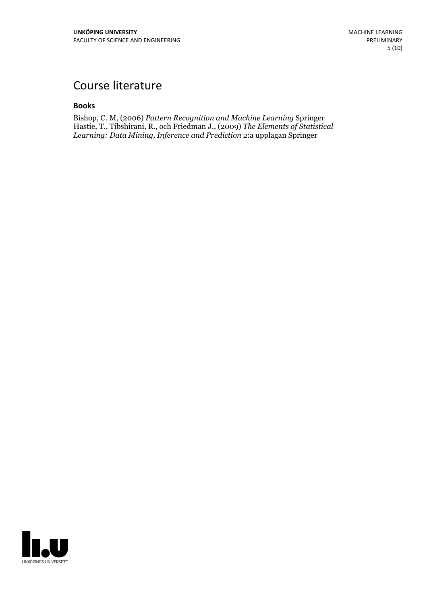# Course literature

#### **Books**

Bishop, C. M, (2006) *Pattern Recognition and Machine Learning* Springer Hastie, T., Tibshirani, R., och Friedman J., (2009) *The Elements of Statistical Learning: Data Mining, Inference and Prediction* 2:a upplagan Springer

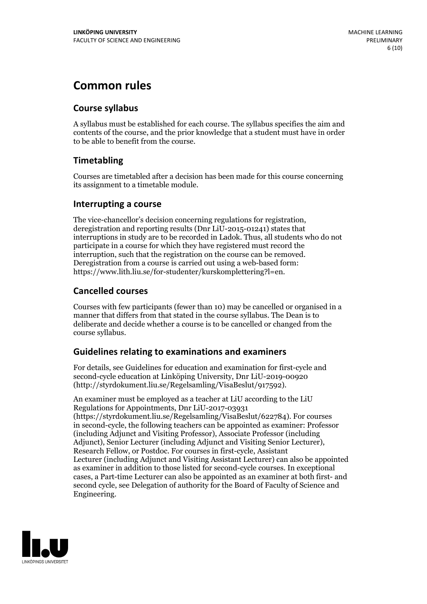# **Common rules**

### **Course syllabus**

A syllabus must be established for each course. The syllabus specifies the aim and contents of the course, and the prior knowledge that a student must have in order to be able to benefit from the course.

### **Timetabling**

Courses are timetabled after a decision has been made for this course concerning its assignment to a timetable module.

### **Interrupting a course**

The vice-chancellor's decision concerning regulations for registration, deregistration and reporting results (Dnr LiU-2015-01241) states that interruptions in study are to be recorded in Ladok. Thus, all students who do not participate in a course for which they have registered must record the interruption, such that the registration on the course can be removed. Deregistration from <sup>a</sup> course is carried outusing <sup>a</sup> web-based form: https://www.lith.liu.se/for-studenter/kurskomplettering?l=en.

### **Cancelled courses**

Courses with few participants (fewer than 10) may be cancelled or organised in a manner that differs from that stated in the course syllabus. The Dean is to deliberate and decide whether a course is to be cancelled or changed from the course syllabus.

### **Guidelines relatingto examinations and examiners**

For details, see Guidelines for education and examination for first-cycle and second-cycle education at Linköping University, Dnr LiU-2019-00920 (http://styrdokument.liu.se/Regelsamling/VisaBeslut/917592).

An examiner must be employed as a teacher at LiU according to the LiU Regulations for Appointments, Dnr LiU-2017-03931 (https://styrdokument.liu.se/Regelsamling/VisaBeslut/622784). For courses in second-cycle, the following teachers can be appointed as examiner: Professor (including Adjunct and Visiting Professor), Associate Professor (including Adjunct), Senior Lecturer (including Adjunct and Visiting Senior Lecturer), Research Fellow, or Postdoc. For courses in first-cycle, Assistant Lecturer (including Adjunct and Visiting Assistant Lecturer) can also be appointed as examiner in addition to those listed for second-cycle courses. In exceptional cases, a Part-time Lecturer can also be appointed as an examiner at both first- and second cycle, see Delegation of authority for the Board of Faculty of Science and Engineering.

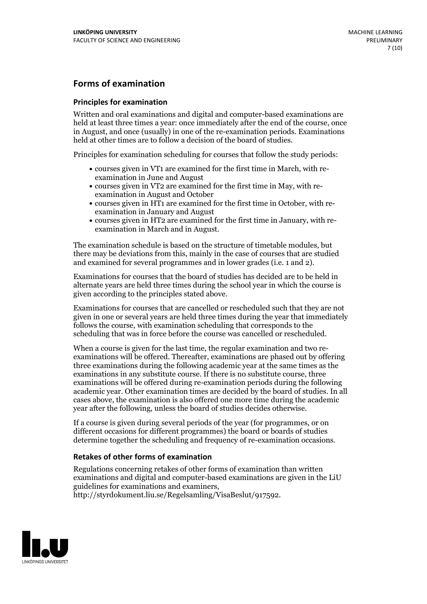### **Forms of examination**

#### **Principles for examination**

Written and oral examinations and digital and computer-based examinations are held at least three times a year: once immediately after the end of the course, once in August, and once (usually) in one of the re-examination periods. Examinations held at other times are to follow a decision of the board of studies.

Principles for examination scheduling for courses that follow the study periods:

- courses given in VT1 are examined for the first time in March, with re-examination in June and August
- courses given in VT2 are examined for the first time in May, with re-examination in August and October
- courses given in HT1 are examined for the first time in October, with re-examination in January and August
- courses given in HT2 are examined for the first time in January, with re-examination in March and in August.

The examination schedule is based on the structure of timetable modules, but there may be deviations from this, mainly in the case of courses that are studied and examined for several programmes and in lower grades (i.e. 1 and 2).

Examinations for courses that the board of studies has decided are to be held in alternate years are held three times during the school year in which the course is given according to the principles stated above.

Examinations for courses that are cancelled orrescheduled such that they are not given in one or several years are held three times during the year that immediately follows the course, with examination scheduling that corresponds to the scheduling that was in force before the course was cancelled or rescheduled.

When a course is given for the last time, the regular examination and two re-<br>examinations will be offered. Thereafter, examinations are phased out by offering three examinations during the following academic year at the same times as the examinations in any substitute course. If there is no substitute course, three examinations will be offered during re-examination periods during the following academic year. Other examination times are decided by the board of studies. In all cases above, the examination is also offered one more time during the academic year after the following, unless the board of studies decides otherwise.

If a course is given during several periods of the year (for programmes, or on different occasions for different programmes) the board or boards of studies determine together the scheduling and frequency of re-examination occasions.

### **Retakes of other forms of examination**

Regulations concerning retakes of other forms of examination than written examinations and digital and computer-based examinations are given in the LiU guidelines for examinations and examiners, http://styrdokument.liu.se/Regelsamling/VisaBeslut/917592.

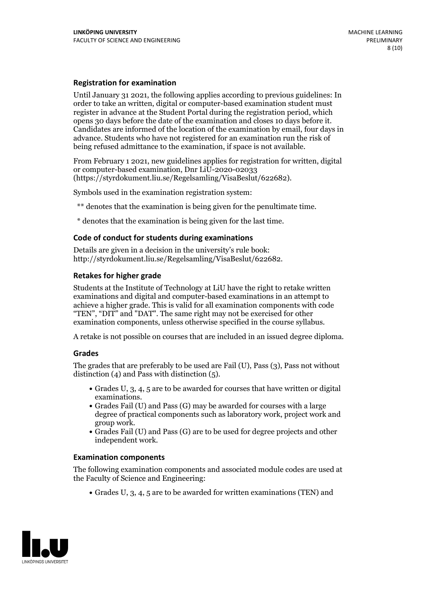#### **Registration for examination**

Until January 31 2021, the following applies according to previous guidelines: In order to take an written, digital or computer-based examination student must register in advance at the Student Portal during the registration period, which Candidates are informed of the location of the examination by email, four days in advance. Students who have not registered for an examination run the risk of being refused admittance to the examination, if space is not available.

From February 1 2021, new guidelines applies for registration for written, digital or computer-based examination, Dnr LiU-2020-02033 (https://styrdokument.liu.se/Regelsamling/VisaBeslut/622682).

Symbols used in the examination registration system:

\*\* denotes that the examination is being given for the penultimate time.

\* denotes that the examination is being given for the last time.

#### **Code of conduct for students during examinations**

Details are given in a decision in the university's rule book: http://styrdokument.liu.se/Regelsamling/VisaBeslut/622682.

### **Retakes for higher grade**

Students at the Institute of Technology at LiU have the right to retake written examinations and digital and computer-based examinations in an attempt to achieve a higher grade. This is valid for all examination components with code "TEN", "DIT" and "DAT". The same right may not be exercised for other examination components, unless otherwise specified in the course syllabus.

A retake is not possible on courses that are included in an issued degree diploma.

#### **Grades**

The grades that are preferably to be used are Fail (U), Pass (3), Pass not without distinction  $(4)$  and Pass with distinction  $(5)$ .

- Grades U, 3, 4, 5 are to be awarded for courses that have written or digital examinations.<br>• Grades Fail (U) and Pass (G) may be awarded for courses with a large
- degree of practical components such as laboratory work, project work and
- $\bullet$  Grades Fail (U) and Pass (G) are to be used for degree projects and other independent work.

#### **Examination components**

The following examination components and associated module codes are used at the Faculty of Science and Engineering:

Grades U, 3, 4, 5 are to be awarded for written examinations (TEN) and

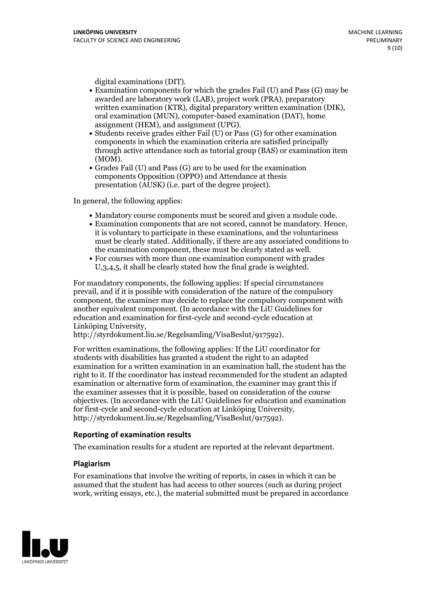- digital examinations (DIT).<br>• Examination components for which the grades Fail (U) and Pass (G) may be awarded are laboratory work (LAB), project work (PRA), preparatory written examination (KTR), digital preparatory written examination (DIK), oral examination (MUN), computer-based examination (DAT), home
- assignment (HEM), and assignment (UPG).<br>• Students receive grades either Fail (U) or Pass (G) for other examination components in which the examination criteria are satisfied principally through active attendance such as tutorial group (BAS) or examination item
- (MOM).<br>• Grades Fail (U) and Pass (G) are to be used for the examination components Opposition (OPPO) and Attendance at thesis presentation (AUSK) (i.e. part of the degree project).

In general, the following applies:

- 
- Mandatory course components must be scored and given <sup>a</sup> module code. Examination components that are not scored, cannot be mandatory. Hence, it is voluntary to participate in these examinations, and the voluntariness must be clearly stated. Additionally, if there are any associated conditions to the examination component, these must be clearly stated as well.<br>• For courses with more than one examination component with grades
- U,3,4,5, it shall be clearly stated how the final grade is weighted.

For mandatory components, the following applies: If special circumstances prevail, and if it is possible with consideration of the nature ofthe compulsory component, the examiner may decide to replace the compulsory component with another equivalent component. (In accordance with the LiU Guidelines for education and examination for first-cycle and second-cycle education at Linköping University, http://styrdokument.liu.se/Regelsamling/VisaBeslut/917592).

For written examinations, the following applies: If the LiU coordinator for students with disabilities has granted a student the right to an adapted examination for a written examination in an examination hall, the student has the right to it. If the coordinator has instead recommended for the student an adapted examination or alternative form of examination, the examiner may grant this if the examiner assesses that it is possible, based on consideration of the course objectives. (In accordance with the LiU Guidelines for education and examination for first-cycle and second-cycle education at Linköping University, http://styrdokument.liu.se/Regelsamling/VisaBeslut/917592).

#### **Reporting of examination results**

The examination results for a student are reported at the relevant department.

#### **Plagiarism**

For examinations that involve the writing of reports, in cases in which it can be assumed that the student has had access to other sources (such as during project work, writing essays, etc.), the material submitted must be prepared in accordance